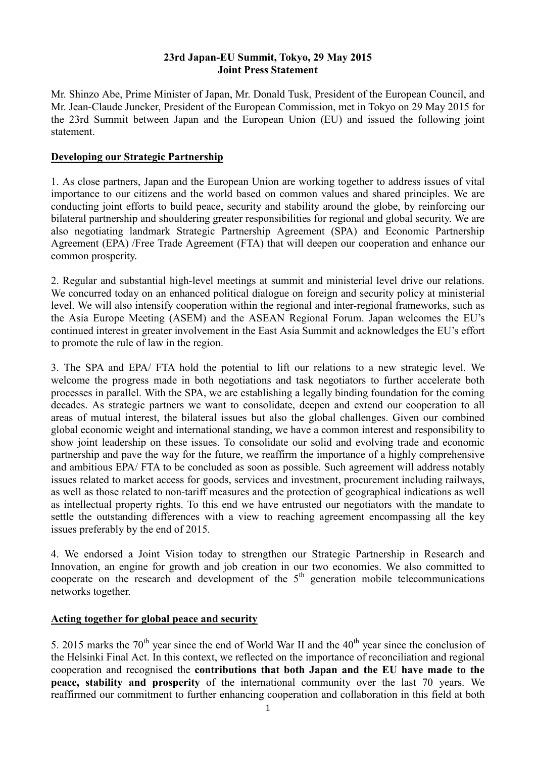### **23rd Japan-EU Summit, Tokyo, 29 May 2015 Joint Press Statement**

Mr. Shinzo Abe, Prime Minister of Japan, Mr. Donald Tusk, President of the European Council, and Mr. Jean-Claude Juncker, President of the European Commission, met in Tokyo on 29 May 2015 for the 23rd Summit between Japan and the European Union (EU) and issued the following joint statement.

### **Developing our Strategic Partnership**

1. As close partners, Japan and the European Union are working together to address issues of vital importance to our citizens and the world based on common values and shared principles. We are conducting joint efforts to build peace, security and stability around the globe, by reinforcing our bilateral partnership and shouldering greater responsibilities for regional and global security. We are also negotiating landmark Strategic Partnership Agreement (SPA) and Economic Partnership Agreement (EPA) /Free Trade Agreement (FTA) that will deepen our cooperation and enhance our common prosperity.

2. Regular and substantial high-level meetings at summit and ministerial level drive our relations. We concurred today on an enhanced political dialogue on foreign and security policy at ministerial level. We will also intensify cooperation within the regional and inter-regional frameworks, such as the Asia Europe Meeting (ASEM) and the ASEAN Regional Forum. Japan welcomes the EU's continued interest in greater involvement in the East Asia Summit and acknowledges the EU's effort to promote the rule of law in the region.

3. The SPA and EPA/ FTA hold the potential to lift our relations to a new strategic level. We welcome the progress made in both negotiations and task negotiators to further accelerate both processes in parallel. With the SPA, we are establishing a legally binding foundation for the coming decades. As strategic partners we want to consolidate, deepen and extend our cooperation to all areas of mutual interest, the bilateral issues but also the global challenges. Given our combined global economic weight and international standing, we have a common interest and responsibility to show joint leadership on these issues. To consolidate our solid and evolving trade and economic partnership and pave the way for the future, we reaffirm the importance of a highly comprehensive and ambitious EPA/ FTA to be concluded as soon as possible. Such agreement will address notably issues related to market access for goods, services and investment, procurement including railways, as well as those related to non-tariff measures and the protection of geographical indications as well as intellectual property rights. To this end we have entrusted our negotiators with the mandate to settle the outstanding differences with a view to reaching agreement encompassing all the key issues preferably by the end of 2015.

4. We endorsed a Joint Vision today to strengthen our Strategic Partnership in Research and Innovation, an engine for growth and job creation in our two economies. We also committed to cooperate on the research and development of the  $5<sup>th</sup>$  generation mobile telecommunications networks together.

# **Acting together for global peace and security**

5. 2015 marks the  $70<sup>th</sup>$  year since the end of World War II and the  $40<sup>th</sup>$  year since the conclusion of the Helsinki Final Act. In this context, we reflected on the importance of reconciliation and regional cooperation and recognised the **contributions that both Japan and the EU have made to the peace, stability and prosperity** of the international community over the last 70 years. We reaffirmed our commitment to further enhancing cooperation and collaboration in this field at both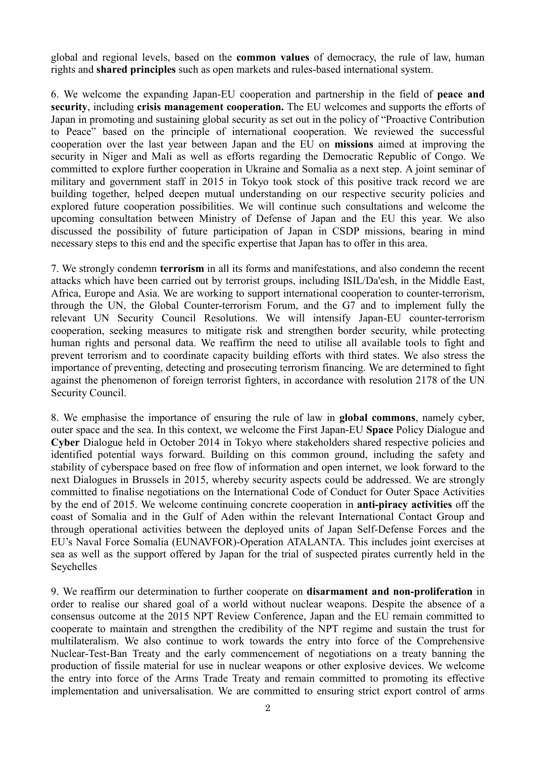global and regional levels, based on the **common values** of democracy, the rule of law, human rights and **shared principles** such as open markets and rules-based international system.

6. We welcome the expanding Japan-EU cooperation and partnership in the field of **peace and security**, including **crisis management cooperation.** The EU welcomes and supports the efforts of Japan in promoting and sustaining global security as set out in the policy of "Proactive Contribution to Peace" based on the principle of international cooperation. We reviewed the successful cooperation over the last year between Japan and the EU on **missions** aimed at improving the security in Niger and Mali as well as efforts regarding the Democratic Republic of Congo. We committed to explore further cooperation in Ukraine and Somalia as a next step. A joint seminar of military and government staff in 2015 in Tokyo took stock of this positive track record we are building together, helped deepen mutual understanding on our respective security policies and explored future cooperation possibilities. We will continue such consultations and welcome the upcoming consultation between Ministry of Defense of Japan and the EU this year. We also discussed the possibility of future participation of Japan in CSDP missions, bearing in mind necessary steps to this end and the specific expertise that Japan has to offer in this area.

7. We strongly condemn **terrorism** in all its forms and manifestations, and also condemn the recent attacks which have been carried out by terrorist groups, including ISIL/Da'esh, in the Middle East, Africa, Europe and Asia. We are working to support international cooperation to counter-terrorism, through the UN, the Global Counter-terrorism Forum, and the G7 and to implement fully the relevant UN Security Council Resolutions. We will intensify Japan-EU counter-terrorism cooperation, seeking measures to mitigate risk and strengthen border security, while protecting human rights and personal data. We reaffirm the need to utilise all available tools to fight and prevent terrorism and to coordinate capacity building efforts with third states. We also stress the importance of preventing, detecting and prosecuting terrorism financing. We are determined to fight against the phenomenon of foreign terrorist fighters, in accordance with resolution 2178 of the UN Security Council.

8. We emphasise the importance of ensuring the rule of law in **global commons**, namely cyber, outer space and the sea. In this context, we welcome the First Japan-EU **Space** Policy Dialogue and **Cyber** Dialogue held in October 2014 in Tokyo where stakeholders shared respective policies and identified potential ways forward. Building on this common ground, including the safety and stability of cyberspace based on free flow of information and open internet, we look forward to the next Dialogues in Brussels in 2015, whereby security aspects could be addressed. We are strongly committed to finalise negotiations on the International Code of Conduct for Outer Space Activities by the end of 2015. We welcome continuing concrete cooperation in **anti-piracy activities** off the coast of Somalia and in the Gulf of Aden within the relevant International Contact Group and through operational activities between the deployed units of Japan Self-Defense Forces and the EU's Naval Force Somalia (EUNAVFOR)-Operation ATALANTA. This includes joint exercises at sea as well as the support offered by Japan for the trial of suspected pirates currently held in the Seychelles

9. We reaffirm our determination to further cooperate on **disarmament and non-proliferation** in order to realise our shared goal of a world without nuclear weapons. Despite the absence of a consensus outcome at the 2015 NPT Review Conference, Japan and the EU remain committed to cooperate to maintain and strengthen the credibility of the NPT regime and sustain the trust for multilateralism. We also continue to work towards the entry into force of the Comprehensive Nuclear-Test-Ban Treaty and the early commencement of negotiations on a treaty banning the production of fissile material for use in nuclear weapons or other explosive devices. We welcome the entry into force of the Arms Trade Treaty and remain committed to promoting its effective implementation and universalisation. We are committed to ensuring strict export control of arms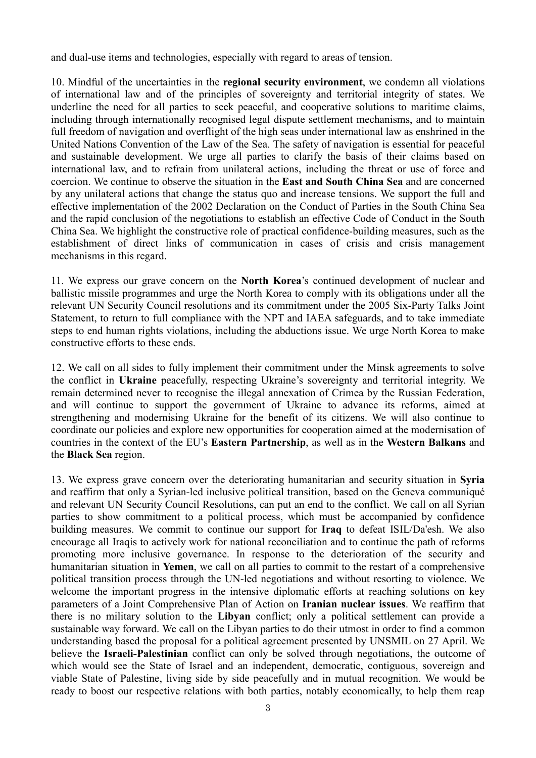and dual-use items and technologies, especially with regard to areas of tension.

10. Mindful of the uncertainties in the **regional security environment**, we condemn all violations of international law and of the principles of sovereignty and territorial integrity of states. We underline the need for all parties to seek peaceful, and cooperative solutions to maritime claims, including through internationally recognised legal dispute settlement mechanisms, and to maintain full freedom of navigation and overflight of the high seas under international law as enshrined in the United Nations Convention of the Law of the Sea. The safety of navigation is essential for peaceful and sustainable development. We urge all parties to clarify the basis of their claims based on international law, and to refrain from unilateral actions, including the threat or use of force and coercion. We continue to observe the situation in the **East and South China Sea** and are concerned by any unilateral actions that change the status quo and increase tensions. We support the full and effective implementation of the 2002 Declaration on the Conduct of Parties in the South China Sea and the rapid conclusion of the negotiations to establish an effective Code of Conduct in the South China Sea. We highlight the constructive role of practical confidence-building measures, such as the establishment of direct links of communication in cases of crisis and crisis management mechanisms in this regard.

11. We express our grave concern on the **North Korea**'s continued development of nuclear and ballistic missile programmes and urge the North Korea to comply with its obligations under all the relevant UN Security Council resolutions and its commitment under the 2005 Six-Party Talks Joint Statement, to return to full compliance with the NPT and IAEA safeguards, and to take immediate steps to end human rights violations, including the abductions issue. We urge North Korea to make constructive efforts to these ends.

12. We call on all sides to fully implement their commitment under the Minsk agreements to solve the conflict in **Ukraine** peacefully, respecting Ukraine's sovereignty and territorial integrity. We remain determined never to recognise the illegal annexation of Crimea by the Russian Federation, and will continue to support the government of Ukraine to advance its reforms, aimed at strengthening and modernising Ukraine for the benefit of its citizens. We will also continue to coordinate our policies and explore new opportunities for cooperation aimed at the modernisation of countries in the context of the EU's **Eastern Partnership**, as well as in the **Western Balkans** and the **Black Sea** region.

13. We express grave concern over the deteriorating humanitarian and security situation in **Syria** and reaffirm that only a Syrian-led inclusive political transition, based on the Geneva communiqué and relevant UN Security Council Resolutions, can put an end to the conflict. We call on all Syrian parties to show commitment to a political process, which must be accompanied by confidence building measures. We commit to continue our support for **Iraq** to defeat ISIL/Da'esh. We also encourage all Iraqis to actively work for national reconciliation and to continue the path of reforms promoting more inclusive governance. In response to the deterioration of the security and humanitarian situation in **Yemen**, we call on all parties to commit to the restart of a comprehensive political transition process through the UN-led negotiations and without resorting to violence. We welcome the important progress in the intensive diplomatic efforts at reaching solutions on key parameters of a Joint Comprehensive Plan of Action on **Iranian nuclear issues**. We reaffirm that there is no military solution to the **Libyan** conflict; only a political settlement can provide a sustainable way forward. We call on the Libyan parties to do their utmost in order to find a common understanding based the proposal for a political agreement presented by UNSMIL on 27 April. We believe the **Israeli-Palestinian** conflict can only be solved through negotiations, the outcome of which would see the State of Israel and an independent, democratic, contiguous, sovereign and viable State of Palestine, living side by side peacefully and in mutual recognition. We would be ready to boost our respective relations with both parties, notably economically, to help them reap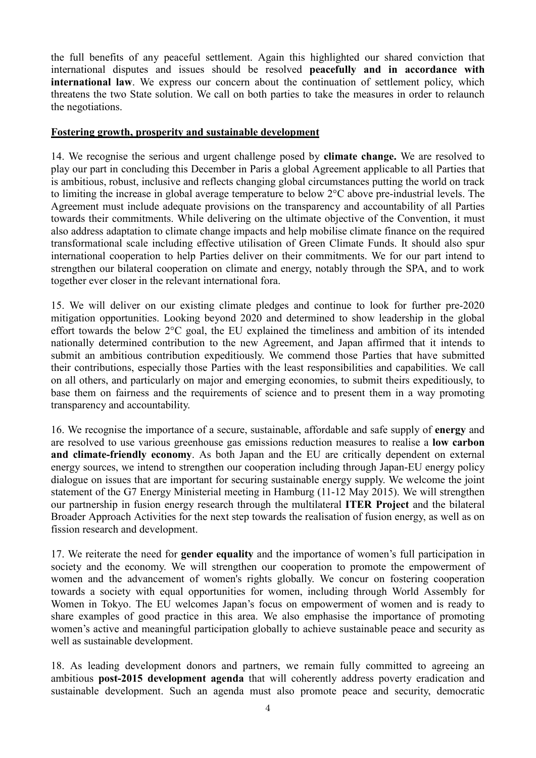the full benefits of any peaceful settlement. Again this highlighted our shared conviction that international disputes and issues should be resolved **peacefully and in accordance with international law**. We express our concern about the continuation of settlement policy, which threatens the two State solution. We call on both parties to take the measures in order to relaunch the negotiations.

#### **Fostering growth, prosperity and sustainable development**

14. We recognise the serious and urgent challenge posed by **climate change.** We are resolved to play our part in concluding this December in Paris a global Agreement applicable to all Parties that is ambitious, robust, inclusive and reflects changing global circumstances putting the world on track to limiting the increase in global average temperature to below 2°C above pre-industrial levels. The Agreement must include adequate provisions on the transparency and accountability of all Parties towards their commitments. While delivering on the ultimate objective of the Convention, it must also address adaptation to climate change impacts and help mobilise climate finance on the required transformational scale including effective utilisation of Green Climate Funds. It should also spur international cooperation to help Parties deliver on their commitments. We for our part intend to strengthen our bilateral cooperation on climate and energy, notably through the SPA, and to work together ever closer in the relevant international fora.

15. We will deliver on our existing climate pledges and continue to look for further pre-2020 mitigation opportunities. Looking beyond 2020 and determined to show leadership in the global effort towards the below 2°C goal, the EU explained the timeliness and ambition of its intended nationally determined contribution to the new Agreement, and Japan affirmed that it intends to submit an ambitious contribution expeditiously. We commend those Parties that have submitted their contributions, especially those Parties with the least responsibilities and capabilities. We call on all others, and particularly on major and emerging economies, to submit theirs expeditiously, to base them on fairness and the requirements of science and to present them in a way promoting transparency and accountability.

16. We recognise the importance of a secure, sustainable, affordable and safe supply of **energy** and are resolved to use various greenhouse gas emissions reduction measures to realise a **low carbon and climate-friendly economy**. As both Japan and the EU are critically dependent on external energy sources, we intend to strengthen our cooperation including through Japan-EU energy policy dialogue on issues that are important for securing sustainable energy supply. We welcome the joint statement of the G7 Energy Ministerial meeting in Hamburg (11-12 May 2015). We will strengthen our partnership in fusion energy research through the multilateral **ITER Project** and the bilateral Broader Approach Activities for the next step towards the realisation of fusion energy, as well as on fission research and development.

17. We reiterate the need for **gender equality** and the importance of women's full participation in society and the economy. We will strengthen our cooperation to promote the empowerment of women and the advancement of women's rights globally. We concur on fostering cooperation towards a society with equal opportunities for women, including through World Assembly for Women in Tokyo. The EU welcomes Japan's focus on empowerment of women and is ready to share examples of good practice in this area. We also emphasise the importance of promoting women's active and meaningful participation globally to achieve sustainable peace and security as well as sustainable development.

18. As leading development donors and partners, we remain fully committed to agreeing an ambitious **post-2015 development agenda** that will coherently address poverty eradication and sustainable development. Such an agenda must also promote peace and security, democratic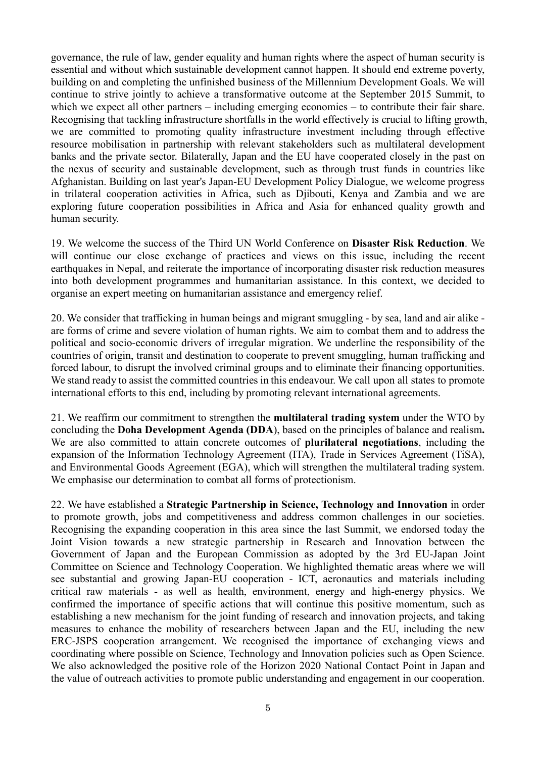governance, the rule of law, gender equality and human rights where the aspect of human security is essential and without which sustainable development cannot happen. It should end extreme poverty, building on and completing the unfinished business of the Millennium Development Goals. We will continue to strive jointly to achieve a transformative outcome at the September 2015 Summit, to which we expect all other partners – including emerging economies – to contribute their fair share. Recognising that tackling infrastructure shortfalls in the world effectively is crucial to lifting growth, we are committed to promoting quality infrastructure investment including through effective resource mobilisation in partnership with relevant stakeholders such as multilateral development banks and the private sector. Bilaterally, Japan and the EU have cooperated closely in the past on the nexus of security and sustainable development, such as through trust funds in countries like Afghanistan. Building on last year's Japan-EU Development Policy Dialogue, we welcome progress in trilateral cooperation activities in Africa, such as Diibouti, Kenya and Zambia and we are exploring future cooperation possibilities in Africa and Asia for enhanced quality growth and human security.

19. We welcome the success of the Third UN World Conference on **Disaster Risk Reduction**. We will continue our close exchange of practices and views on this issue, including the recent earthquakes in Nepal, and reiterate the importance of incorporating disaster risk reduction measures into both development programmes and humanitarian assistance. In this context, we decided to organise an expert meeting on humanitarian assistance and emergency relief.

20. We consider that trafficking in human beings and migrant smuggling - by sea, land and air alike are forms of crime and severe violation of human rights. We aim to combat them and to address the political and socio-economic drivers of irregular migration. We underline the responsibility of the countries of origin, transit and destination to cooperate to prevent smuggling, human trafficking and forced labour, to disrupt the involved criminal groups and to eliminate their financing opportunities. We stand ready to assist the committed countries in this endeavour. We call upon all states to promote international efforts to this end, including by promoting relevant international agreements.

21. We reaffirm our commitment to strengthen the **multilateral trading system** under the WTO by concluding the **Doha Development Agenda (DDA**), based on the principles of balance and realism**.** We are also committed to attain concrete outcomes of **plurilateral negotiations**, including the expansion of the Information Technology Agreement (ITA), Trade in Services Agreement (TiSA), and Environmental Goods Agreement (EGA), which will strengthen the multilateral trading system. We emphasise our determination to combat all forms of protectionism.

22. We have established a **Strategic Partnership in Science, Technology and Innovation** in order to promote growth, jobs and competitiveness and address common challenges in our societies. Recognising the expanding cooperation in this area since the last Summit, we endorsed today the Joint Vision towards a new strategic partnership in Research and Innovation between the Government of Japan and the European Commission as adopted by the 3rd EU-Japan Joint Committee on Science and Technology Cooperation. We highlighted thematic areas where we will see substantial and growing Japan-EU cooperation - ICT, aeronautics and materials including critical raw materials - as well as health, environment, energy and high-energy physics. We confirmed the importance of specific actions that will continue this positive momentum, such as establishing a new mechanism for the joint funding of research and innovation projects, and taking measures to enhance the mobility of researchers between Japan and the EU, including the new ERC-JSPS cooperation arrangement. We recognised the importance of exchanging views and coordinating where possible on Science, Technology and Innovation policies such as Open Science. We also acknowledged the positive role of the Horizon 2020 National Contact Point in Japan and the value of outreach activities to promote public understanding and engagement in our cooperation.